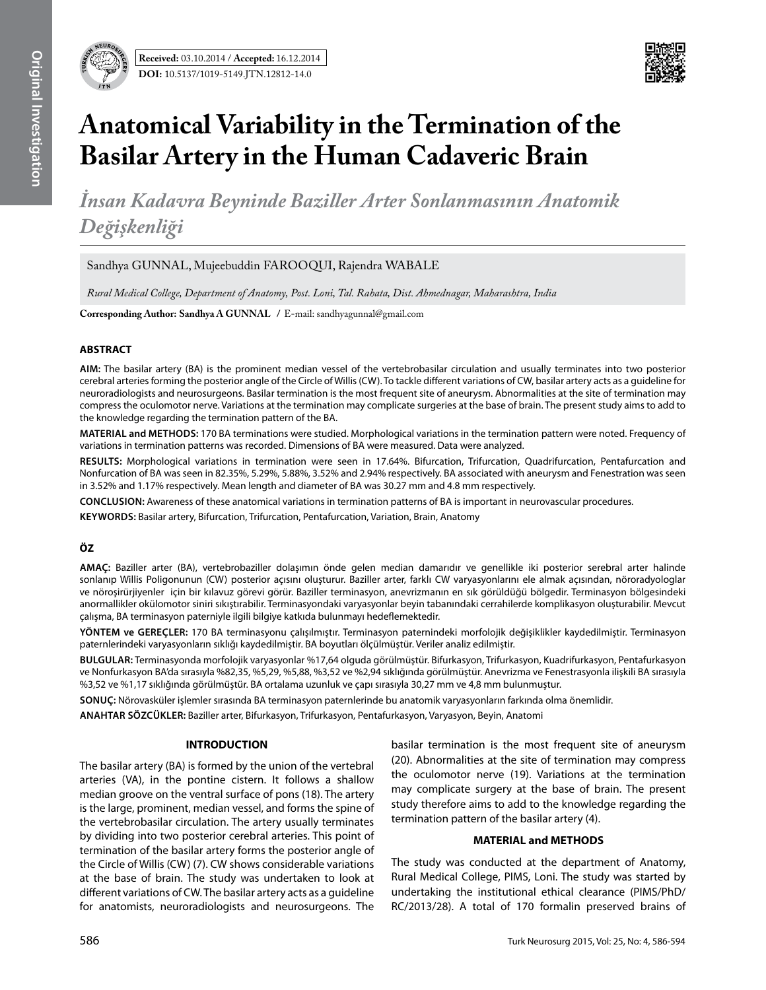

## **Anatomical Variability in the Termination of the Basilar Artery in the Human Cadaveric Brain**

*İnsan Kadavra Beyninde Baziller Arter Sonlanmasının Anatomik Değişkenliği*

Sandhya GUNNAL, Mujeebuddin FAROOQUI, Rajendra WABALE

*Rural Medical College, Department of Anatomy, Post. Loni, Tal. Rahata, Dist. Ahmednagar, Maharashtra, India* 

**Corresponding Author: Sandhya A GUNNAL** / E-mail: sandhyagunnal@gmail.com

#### **ABSTRACT**

**AIm:** The basilar artery (BA) is the prominent median vessel of the vertebrobasilar circulation and usually terminates into two posterior cerebral arteries forming the posterior angle of the Circle of Willis (CW). To tackle different variations of CW, basilar artery acts as a guideline for neuroradiologists and neurosurgeons. Basilar termination is the most frequent site of aneurysm. Abnormalities at the site of termination may compress the oculomotor nerve. Variations at the termination may complicate surgeries at the base of brain. The present study aims to add to the knowledge regarding the termination pattern of the BA.

**MaterIal and Methods:** 170 BA terminations were studied. Morphological variations in the termination pattern were noted. Frequency of variations in termination patterns was recorded. Dimensions of BA were measured. Data were analyzed.

**Results:** Morphological variations in termination were seen in 17.64%. Bifurcation, Trifurcation, Quadrifurcation, Pentafurcation and Nonfurcation of BA was seen in 82.35%, 5.29%, 5.88%, 3.52% and 2.94% respectively. BA associated with aneurysm and Fenestration was seen in 3.52% and 1.17% respectively. Mean length and diameter of BA was 30.27 mm and 4.8 mm respectively.

**ConclusIon:** Awareness of these anatomical variations in termination patterns of BA is important in neurovascular procedures.

**Keywords:** Basilar artery, Bifurcation, Trifurcation, Pentafurcation, Variation, Brain, Anatomy

#### **ÖZ**

**AMAÇ:** Baziller arter (BA), vertebrobaziller dolaşımın önde gelen median damarıdır ve genellikle iki posterior serebral arter halinde sonlanıp Willis Poligonunun (CW) posterior açısını oluşturur. Baziller arter, farklı CW varyasyonlarını ele almak açısından, nöroradyologlar ve nöroşirürjiyenler için bir kılavuz görevi görür. Baziller terminasyon, anevrizmanın en sık görüldüğü bölgedir. Terminasyon bölgesindeki anormallikler okülomotor siniri sıkıştırabilir. Terminasyondaki varyasyonlar beyin tabanındaki cerrahilerde komplikasyon oluşturabilir. Mevcut çalışma, BA terminasyon paterniyle ilgili bilgiye katkıda bulunmayı hedeflemektedir.

**YÖNTEM ve GEREÇLER:** 170 BA terminasyonu çalışılmıştır. Terminasyon paternindeki morfolojik değişiklikler kaydedilmiştir. Terminasyon paternlerindeki varyasyonların sıklığı kaydedilmiştir. BA boyutları ölçülmüştür. Veriler analiz edilmiştir.

**BULGULAR:** Terminasyonda morfolojik varyasyonlar %17,64 olguda görülmüştür. Bifurkasyon, Trifurkasyon, Kuadrifurkasyon, Pentafurkasyon ve Nonfurkasyon BA'da sırasıyla %82,35, %5,29, %5,88, %3,52 ve %2,94 sıklığında görülmüştür. Anevrizma ve Fenestrasyonla ilişkili BA sırasıyla %3,52 ve %1,17 sıklığında görülmüştür. BA ortalama uzunluk ve çapı sırasıyla 30,27 mm ve 4,8 mm bulunmuştur.

**SONUÇ:** Nörovasküler işlemler sırasında BA terminasyon paternlerinde bu anatomik varyasyonların farkında olma önemlidir.

**ANAHTAR SÖZCÜKLER:** Baziller arter, Bifurkasyon, Trifurkasyon, Pentafurkasyon, Varyasyon, Beyin, Anatomi

#### **INTRODUCTION**

The basilar artery (BA) is formed by the union of the vertebral arteries (VA), in the pontine cistern. It follows a shallow median groove on the ventral surface of pons (18). The artery is the large, prominent, median vessel, and forms the spine of the vertebrobasilar circulation. The artery usually terminates by dividing into two posterior cerebral arteries. This point of termination of the basilar artery forms the posterior angle of the Circle of Willis (CW) (7). CW shows considerable variations at the base of brain. The study was undertaken to look at different variations of CW. The basilar artery acts as a guideline for anatomists, neuroradiologists and neurosurgeons. The basilar termination is the most frequent site of aneurysm (20). Abnormalities at the site of termination may compress the oculomotor nerve (19). Variations at the termination may complicate surgery at the base of brain. The present study therefore aims to add to the knowledge regarding the termination pattern of the basilar artery (4).

#### **MATERIAL and METHODS**

The study was conducted at the department of Anatomy, Rural Medical College, PIMS, Loni. The study was started by undertaking the institutional ethical clearance (PIMS/PhD/ RC/2013/28). A total of 170 formalin preserved brains of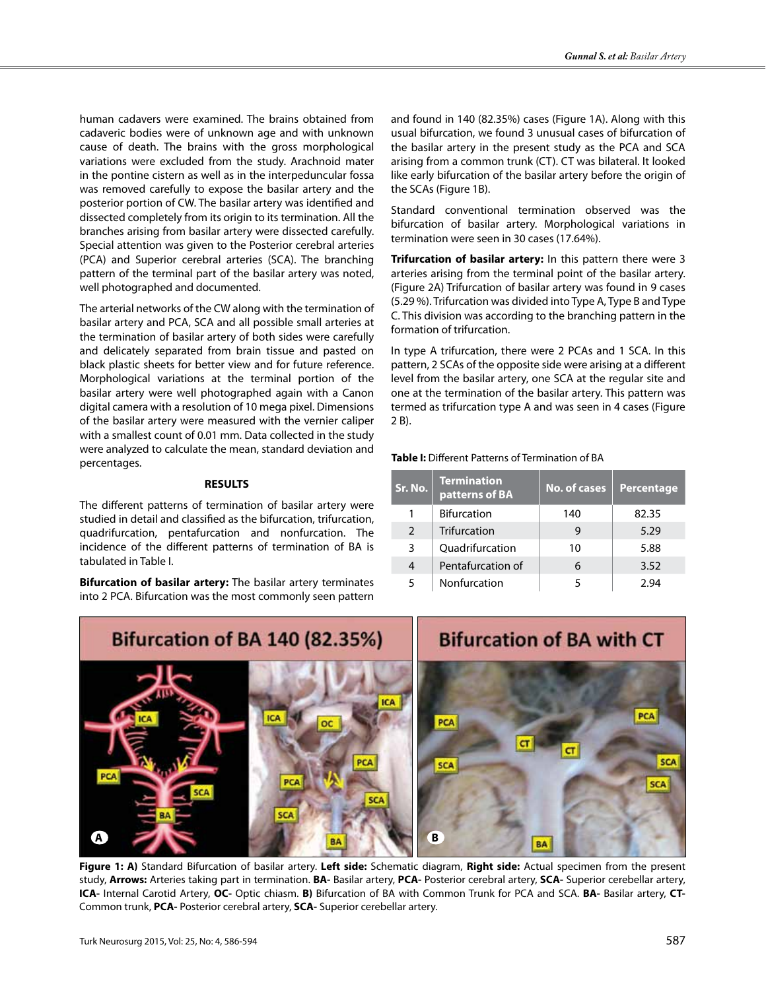human cadavers were examined. The brains obtained from cadaveric bodies were of unknown age and with unknown cause of death. The brains with the gross morphological variations were excluded from the study. Arachnoid mater in the pontine cistern as well as in the interpeduncular fossa was removed carefully to expose the basilar artery and the posterior portion of CW. The basilar artery was identified and dissected completely from its origin to its termination. All the branches arising from basilar artery were dissected carefully. Special attention was given to the Posterior cerebral arteries (PCA) and Superior cerebral arteries (SCA). The branching pattern of the terminal part of the basilar artery was noted, well photographed and documented.

The arterial networks of the CW along with the termination of basilar artery and PCA, SCA and all possible small arteries at the termination of basilar artery of both sides were carefully and delicately separated from brain tissue and pasted on black plastic sheets for better view and for future reference. Morphological variations at the terminal portion of the basilar artery were well photographed again with a Canon digital camera with a resolution of 10 mega pixel. Dimensions of the basilar artery were measured with the vernier caliper with a smallest count of 0.01 mm. Data collected in the study were analyzed to calculate the mean, standard deviation and percentages.

#### **RESULTS**

The different patterns of termination of basilar artery were studied in detail and classified as the bifurcation, trifurcation, quadrifurcation, pentafurcation and nonfurcation. The incidence of the different patterns of termination of BA is tabulated in Table I.

**Bifurcation of basilar artery:** The basilar artery terminates into 2 PCA. Bifurcation was the most commonly seen pattern and found in 140 (82.35%) cases (Figure 1A). Along with this usual bifurcation, we found 3 unusual cases of bifurcation of the basilar artery in the present study as the PCA and SCA arising from a common trunk (CT). CT was bilateral. It looked like early bifurcation of the basilar artery before the origin of the SCAs (Figure 1B).

Standard conventional termination observed was the bifurcation of basilar artery. Morphological variations in termination were seen in 30 cases (17.64%).

**Trifurcation of basilar artery:** In this pattern there were 3 arteries arising from the terminal point of the basilar artery. (Figure 2A) Trifurcation of basilar artery was found in 9 cases (5.29 %). Trifurcation was divided into Type A, Type B and Type C. This division was according to the branching pattern in the formation of trifurcation.

In type A trifurcation, there were 2 PCAs and 1 SCA. In this pattern, 2 SCAs of the opposite side were arising at a different level from the basilar artery, one SCA at the regular site and one at the termination of the basilar artery. This pattern was termed as trifurcation type A and was seen in 4 cases (Figure 2 B).

#### **Table I:** Different Patterns of Termination of BA

| Sr. No.       | <b>Termination</b><br>patterns of BA | <b>No. of cases</b> | Percentage |
|---------------|--------------------------------------|---------------------|------------|
|               | <b>Bifurcation</b>                   | 140                 | 82.35      |
| $\mathcal{P}$ | Trifurcation                         | 9                   | 5.29       |
| 3             | Quadrifurcation                      | 10                  | 5.88       |
| 4             | Pentafurcation of                    |                     | 3.52       |
| 5             | Nonfurcation                         |                     | 294        |



**Figure 1: A)** Standard Bifurcation of basilar artery. **Left side:** Schematic diagram, **Right side:** Actual specimen from the present study, **Arrows:** Arteries taking part in termination. **BA-** Basilar artery, **PCA-** Posterior cerebral artery, **SCA-** Superior cerebellar artery, **ICA-** Internal Carotid Artery, **OC-** Optic chiasm. **B)** Bifurcation of BA with Common Trunk for PCA and SCA. **BA-** Basilar artery, **CT-**Common trunk, **PCA-** Posterior cerebral artery, **SCA-** Superior cerebellar artery.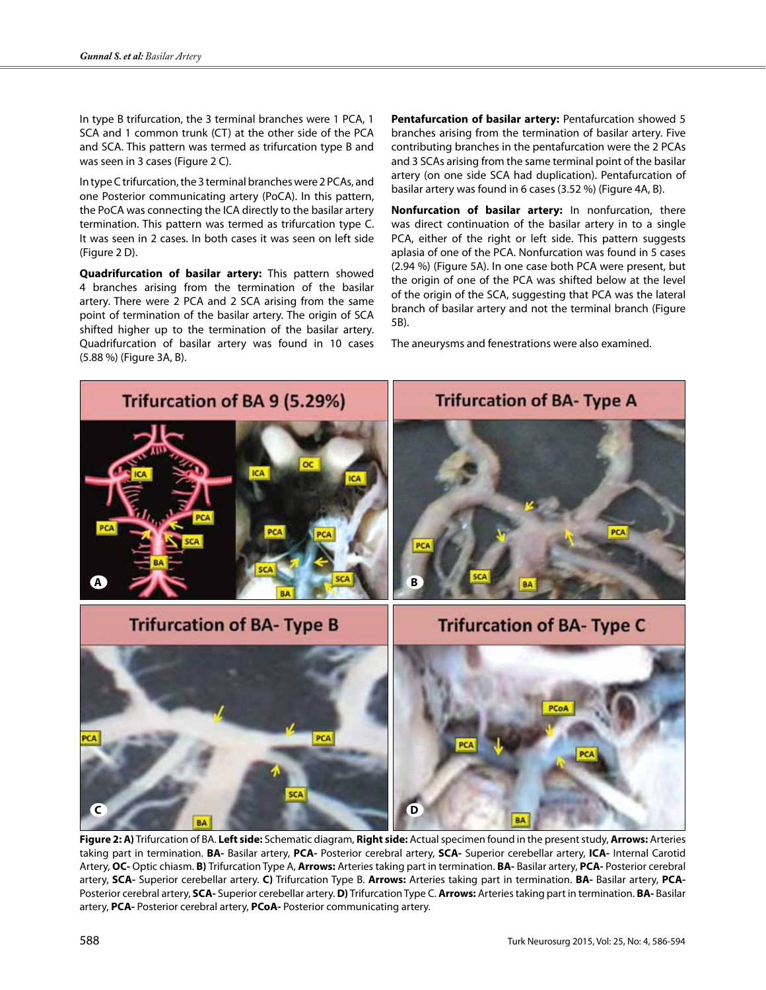In type B trifurcation, the 3 terminal branches were 1 PCA, 1 SCA and 1 common trunk (CT) at the other side of the PCA and SCA. This pattern was termed as trifurcation type B and was seen in 3 cases (Figure 2 C).

In type C trifurcation, the 3 terminal branches were 2 PCAs, and one Posterior communicating artery (PoCA). In this pattern, the PoCA was connecting the ICA directly to the basilar artery termination. This pattern was termed as trifurcation type C. It was seen in 2 cases. In both cases it was seen on left side (Figure 2 D).

**Quadrifurcation of basilar artery:** This pattern showed 4 branches arising from the termination of the basilar artery. There were 2 PCA and 2 SCA arising from the same point of termination of the basilar artery. The origin of SCA shifted higher up to the termination of the basilar artery. Quadrifurcation of basilar artery was found in 10 cases (5.88 %) (Figure 3A, B).

**Pentafurcation of basilar artery:** Pentafurcation showed 5 branches arising from the termination of basilar artery. Five contributing branches in the pentafurcation were the 2 PCAs and 3 SCAs arising from the same terminal point of the basilar artery (on one side SCA had duplication). Pentafurcation of basilar artery was found in 6 cases (3.52 %) (Figure 4A, B).

**Nonfurcation of basilar artery:** In nonfurcation, there was direct continuation of the basilar artery in to a single PCA, either of the right or left side. This pattern suggests aplasia of one of the PCA. Nonfurcation was found in 5 cases (2.94 %) (Figure 5A). In one case both PCA were present, but the origin of one of the PCA was shifted below at the level of the origin of the SCA, suggesting that PCA was the lateral branch of basilar artery and not the terminal branch (Figure 5B).

The aneurysms and fenestrations were also examined.



**Figure 2: A)** Trifurcation of BA. **Left side:** Schematic diagram, **Right side:** Actual specimen found in the present study, **Arrows:** Arteries taking part in termination. **BA-** Basilar artery, **PCA-** Posterior cerebral artery, **SCA-** Superior cerebellar artery, **ICA-** Internal Carotid Artery, **OC-** Optic chiasm. **B)** Trifurcation Type A, **Arrows:** Arteries taking part in termination. **BA-** Basilar artery, **PCA-** Posterior cerebral artery, **SCA-** Superior cerebellar artery. **C)** Trifurcation Type B. **Arrows:** Arteries taking part in termination. **BA-** Basilar artery, **PCA-**Posterior cerebral artery, **SCA-** Superior cerebellar artery. **D)** Trifurcation Type C. **Arrows:** Arteries taking part in termination. **BA-** Basilar artery, **PCA-** Posterior cerebral artery, **PCoA-** Posterior communicating artery.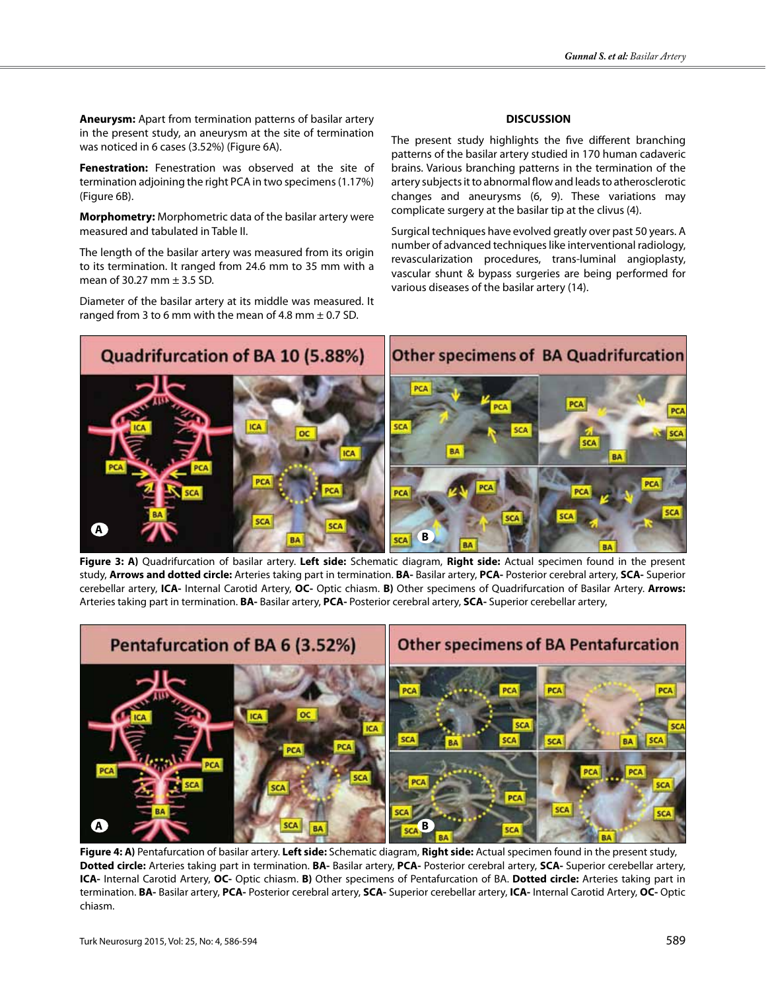**Aneurysm:** Apart from termination patterns of basilar artery in the present study, an aneurysm at the site of termination was noticed in 6 cases (3.52%) (Figure 6A).

**Fenestration:** Fenestration was observed at the site of termination adjoining the right PCA in two specimens (1.17%) (Figure 6B).

**Morphometry:** Morphometric data of the basilar artery were measured and tabulated in Table II.

The length of the basilar artery was measured from its origin to its termination. It ranged from 24.6 mm to 35 mm with a mean of 30.27 mm  $\pm$  3.5 SD.

Diameter of the basilar artery at its middle was measured. It ranged from 3 to 6 mm with the mean of 4.8 mm  $\pm$  0.7 SD.

#### **DISCUSSION**

The present study highlights the five different branching patterns of the basilar artery studied in 170 human cadaveric brains. Various branching patterns in the termination of the artery subjects it to abnormal flow and leads to atherosclerotic changes and aneurysms (6, 9). These variations may complicate surgery at the basilar tip at the clivus (4).

Surgical techniques have evolved greatly over past 50 years. A number of advanced techniques like interventional radiology, revascularization procedures, trans-luminal angioplasty, vascular shunt & bypass surgeries are being performed for various diseases of the basilar artery (14).



**Figure 3: A)** Quadrifurcation of basilar artery. **Left side:** Schematic diagram, **Right side:** Actual specimen found in the present study, **Arrows and dotted circle:** Arteries taking part in termination. **BA-** Basilar artery, **PCA-** Posterior cerebral artery, **SCA-** Superior cerebellar artery, **ICA-** Internal Carotid Artery, **OC-** Optic chiasm. **B)** Other specimens of Quadrifurcation of Basilar Artery. **Arrows:**  Arteries taking part in termination. **BA-** Basilar artery, **PCA-** Posterior cerebral artery, **SCA-** Superior cerebellar artery,



**Figure 4: A)** Pentafurcation of basilar artery. **Left side:** Schematic diagram, **Right side:** Actual specimen found in the present study, **Dotted circle:** Arteries taking part in termination. **BA-** Basilar artery, **PCA-** Posterior cerebral artery, **SCA-** Superior cerebellar artery, **ICA-** Internal Carotid Artery, **OC-** Optic chiasm. **B)** Other specimens of Pentafurcation of BA. **Dotted circle:** Arteries taking part in termination. **BA-** Basilar artery, **PCA-** Posterior cerebral artery, **SCA-** Superior cerebellar artery, **ICA-** Internal Carotid Artery, **OC-** Optic chiasm.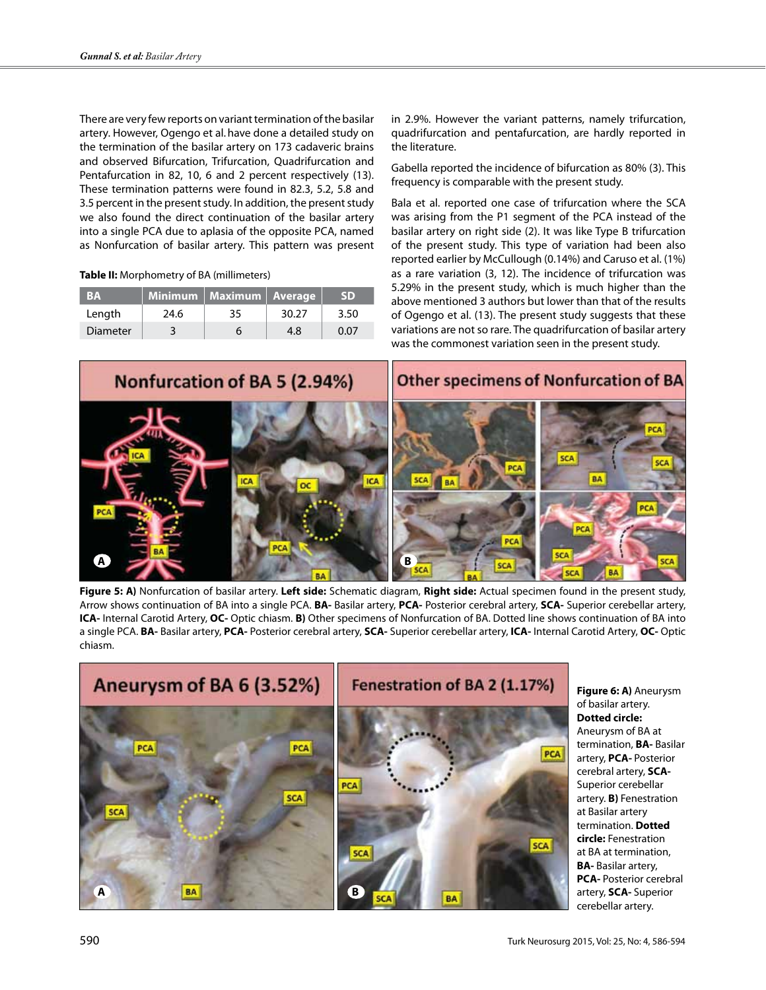There are very few reports on variant termination of the basilar artery. However, Ogengo et al.have done a detailed study on the termination of the basilar artery on 173 cadaveric brains and observed Bifurcation, Trifurcation, Quadrifurcation and Pentafurcation in 82, 10, 6 and 2 percent respectively (13). These termination patterns were found in 82.3, 5.2, 5.8 and 3.5 percent in the present study. In addition, the present study we also found the direct continuation of the basilar artery into a single PCA due to aplasia of the opposite PCA, named as Nonfurcation of basilar artery. This pattern was present

#### **Table II:** Morphometry of BA (millimeters)

| <b>BA</b> |      | Minimum   Maximum   Average |       | <b>SD</b> |
|-----------|------|-----------------------------|-------|-----------|
| Length    | 24.6 | 35                          | 30.27 | 3.50      |
| Diameter  |      |                             | 48    | 0 07      |

in 2.9%. However the variant patterns, namely trifurcation, quadrifurcation and pentafurcation, are hardly reported in the literature.

Gabella reported the incidence of bifurcation as 80% (3). This frequency is comparable with the present study.

Bala et al. reported one case of trifurcation where the SCA was arising from the P1 segment of the PCA instead of the basilar artery on right side (2). It was like Type B trifurcation of the present study. This type of variation had been also reported earlier by McCullough (0.14%) and Caruso et al. (1%) as a rare variation (3, 12). The incidence of trifurcation was 5.29% in the present study, which is much higher than the above mentioned 3 authors but lower than that of the results of Ogengo et al. (13). The present study suggests that these variations are not so rare. The quadrifurcation of basilar artery was the commonest variation seen in the present study.



**Figure 5: A)** Nonfurcation of basilar artery. **Left side:** Schematic diagram, **Right side:** Actual specimen found in the present study, Arrow shows continuation of BA into a single PCA. **BA-** Basilar artery, **PCA-** Posterior cerebral artery, **SCA-** Superior cerebellar artery, **ICA-** Internal Carotid Artery, **OC-** Optic chiasm. **B)** Other specimens of Nonfurcation of BA. Dotted line shows continuation of BA into a single PCA. **BA-** Basilar artery, **PCA-** Posterior cerebral artery, **SCA-** Superior cerebellar artery, **ICA-** Internal Carotid Artery, **OC-** Optic chiasm.



**Figure 6: A)** Aneurysm of basilar artery. **Dotted circle:**  Aneurysm of BA at termination, **BA-** Basilar artery, **PCA-** Posterior cerebral artery, **SCA-**Superior cerebellar artery. **B)** Fenestration at Basilar artery termination. **Dotted circle:** Fenestration at BA at termination, **BA-** Basilar artery, **PCA-** Posterior cerebral artery, **SCA-** Superior cerebellar artery.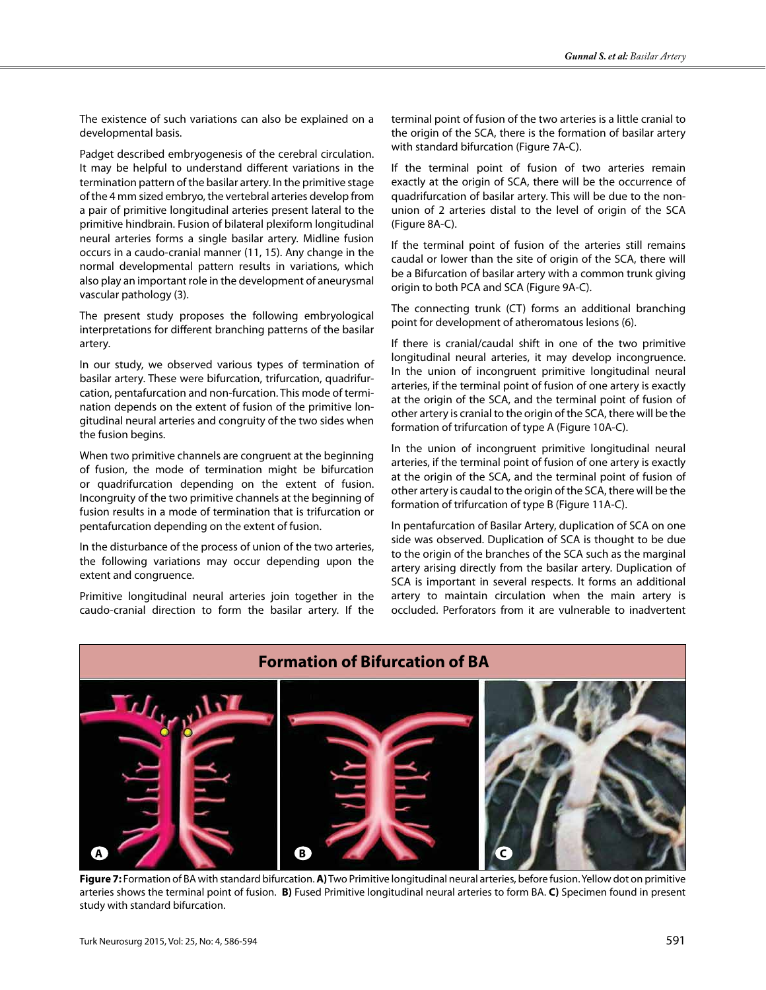The existence of such variations can also be explained on a developmental basis.

Padget described embryogenesis of the cerebral circulation. It may be helpful to understand different variations in the termination pattern of the basilar artery. In the primitive stage of the 4 mm sized embryo, the vertebral arteries develop from a pair of primitive longitudinal arteries present lateral to the primitive hindbrain. Fusion of bilateral plexiform longitudinal neural arteries forms a single basilar artery. Midline fusion occurs in a caudo-cranial manner (11, 15). Any change in the normal developmental pattern results in variations, which also play an important role in the development of aneurysmal vascular pathology (3).

The present study proposes the following embryological interpretations for different branching patterns of the basilar artery.

In our study, we observed various types of termination of basilar artery. These were bifurcation, trifurcation, quadrifurcation, pentafurcation and non-furcation. This mode of termination depends on the extent of fusion of the primitive longitudinal neural arteries and congruity of the two sides when the fusion begins.

When two primitive channels are congruent at the beginning of fusion, the mode of termination might be bifurcation or quadrifurcation depending on the extent of fusion. Incongruity of the two primitive channels at the beginning of fusion results in a mode of termination that is trifurcation or pentafurcation depending on the extent of fusion.

In the disturbance of the process of union of the two arteries, the following variations may occur depending upon the extent and congruence.

Primitive longitudinal neural arteries join together in the caudo-cranial direction to form the basilar artery. If the terminal point of fusion of the two arteries is a little cranial to the origin of the SCA, there is the formation of basilar artery with standard bifurcation (Figure 7A-C).

If the terminal point of fusion of two arteries remain exactly at the origin of SCA, there will be the occurrence of quadrifurcation of basilar artery. This will be due to the nonunion of 2 arteries distal to the level of origin of the SCA (Figure 8A-C).

If the terminal point of fusion of the arteries still remains caudal or lower than the site of origin of the SCA, there will be a Bifurcation of basilar artery with a common trunk giving origin to both PCA and SCA (Figure 9A-C).

The connecting trunk (CT) forms an additional branching point for development of atheromatous lesions (6).

If there is cranial/caudal shift in one of the two primitive longitudinal neural arteries, it may develop incongruence. In the union of incongruent primitive longitudinal neural arteries, if the terminal point of fusion of one artery is exactly at the origin of the SCA, and the terminal point of fusion of other artery is cranial to the origin of the SCA, there will be the formation of trifurcation of type A (Figure 10A-C).

In the union of incongruent primitive longitudinal neural arteries, if the terminal point of fusion of one artery is exactly at the origin of the SCA, and the terminal point of fusion of other artery is caudal to the origin of the SCA, there will be the formation of trifurcation of type B (Figure 11A-C).

In pentafurcation of Basilar Artery, duplication of SCA on one side was observed. Duplication of SCA is thought to be due to the origin of the branches of the SCA such as the marginal artery arising directly from the basilar artery. Duplication of SCA is important in several respects. It forms an additional artery to maintain circulation when the main artery is occluded. Perforators from it are vulnerable to inadvertent



**Figure 7:** Formation of BA with standard bifurcation. **A)** Two Primitive longitudinal neural arteries, before fusion. Yellow dot on primitive arteries shows the terminal point of fusion. **B)** Fused Primitive longitudinal neural arteries to form BA. **C)** Specimen found in present study with standard bifurcation.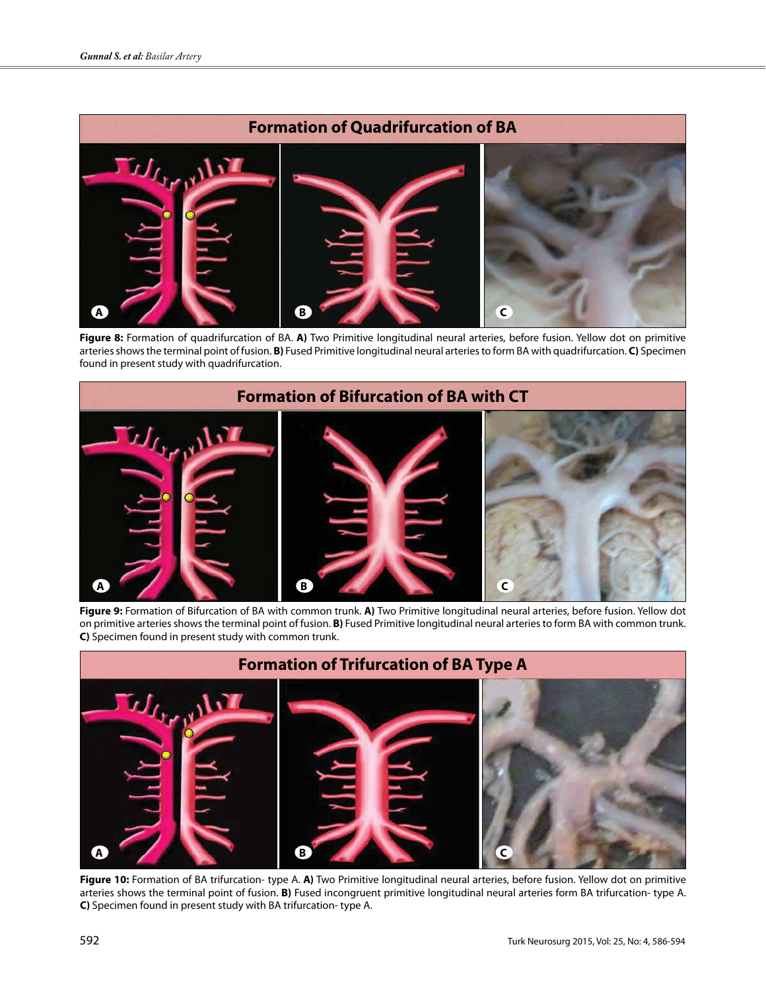# **Formation of Quadrifurcation of BA**  $J_{f_{\mathbf{y},\mathbf{x}},\mathbf{y}}$ **A B C**

**Figure 8:** Formation of quadrifurcation of BA. **A)** Two Primitive longitudinal neural arteries, before fusion. Yellow dot on primitive arteries shows the terminal point of fusion. **B)** Fused Primitive longitudinal neural arteries to form BA with quadrifurcation. **C)** Specimen found in present study with quadrifurcation.



**Figure 9:** Formation of Bifurcation of BA with common trunk. **A)** Two Primitive longitudinal neural arteries, before fusion. Yellow dot on primitive arteries shows the terminal point of fusion. **B)** Fused Primitive longitudinal neural arteries to form BA with common trunk. **C)** Specimen found in present study with common trunk.



**Figure 10:** Formation of BA trifurcation- type A. **A)** Two Primitive longitudinal neural arteries, before fusion. Yellow dot on primitive arteries shows the terminal point of fusion. **B)** Fused incongruent primitive longitudinal neural arteries form BA trifurcation- type A. **C)** Specimen found in present study with BA trifurcation- type A.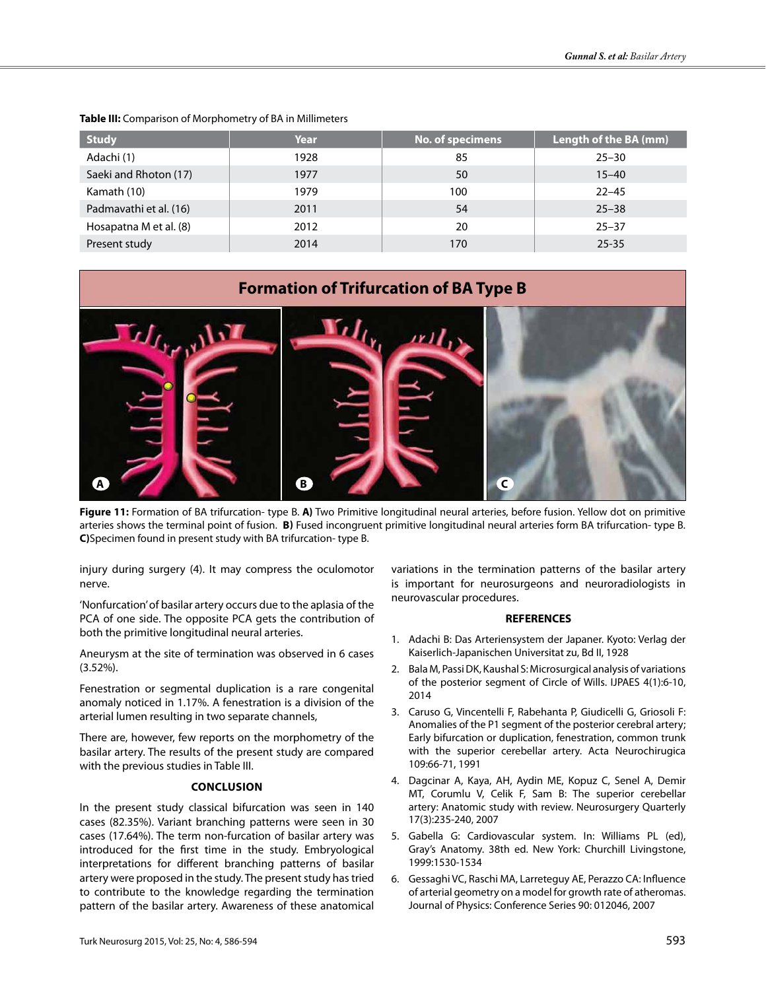| <b>Study</b>           | Year | No. of specimens | Length of the BA (mm) |
|------------------------|------|------------------|-----------------------|
| Adachi (1)             | 1928 | 85               | $25 - 30$             |
| Saeki and Rhoton (17)  | 1977 | 50               | $15 - 40$             |
| Kamath (10)            | 1979 | 100              | $22 - 45$             |
| Padmavathi et al. (16) | 2011 | 54               | $25 - 38$             |
| Hosapatna M et al. (8) | 2012 | 20               | $25 - 37$             |
| Present study          | 2014 | 170              | $25 - 35$             |

#### **Table III:** Comparison of Morphometry of BA in Millimeters

### **Formation of Trifurcation of BA Type B**



**Figure 11:** Formation of BA trifurcation- type B. **A)** Two Primitive longitudinal neural arteries, before fusion. Yellow dot on primitive arteries shows the terminal point of fusion. **B)** Fused incongruent primitive longitudinal neural arteries form BA trifurcation- type B. **C)**Specimen found in present study with BA trifurcation- type B.

injury during surgery (4). It may compress the oculomotor nerve.

'Nonfurcation' of basilar artery occurs due to the aplasia of the PCA of one side. The opposite PCA gets the contribution of both the primitive longitudinal neural arteries.

Aneurysm at the site of termination was observed in 6 cases (3.52%).

Fenestration or segmental duplication is a rare congenital anomaly noticed in 1.17%. A fenestration is a division of the arterial lumen resulting in two separate channels,

There are, however, few reports on the morphometry of the basilar artery. The results of the present study are compared with the previous studies in Table III.

#### **CONCLUSION**

In the present study classical bifurcation was seen in 140 cases (82.35%). Variant branching patterns were seen in 30 cases (17.64%). The term non-furcation of basilar artery was introduced for the first time in the study. Embryological interpretations for different branching patterns of basilar artery were proposed in the study. The present study has tried to contribute to the knowledge regarding the termination pattern of the basilar artery. Awareness of these anatomical

variations in the termination patterns of the basilar artery is important for neurosurgeons and neuroradiologists in neurovascular procedures.

#### **REFERENCES**

- 1. Adachi B: Das Arteriensystem der Japaner. Kyoto: Verlag der Kaiserlich-Japanischen Universitat zu, Bd II, 1928
- 2. Bala M, Passi DK, Kaushal S: Microsurgical analysis of variations of the posterior segment of Circle of Wills. IJPAES 4(1):6-10, 2014
- 3. Caruso G, Vincentelli F, Rabehanta P, Giudicelli G, Griosoli F: Anomalies of the P1 segment of the posterior cerebral artery; Early bifurcation or duplication, fenestration, common trunk with the superior cerebellar artery. Acta Neurochirugica 109:66-71, 1991
- 4. Dagcinar A, Kaya, AH, Aydin ME, Kopuz C, Senel A, Demir MT, Corumlu V, Celik F, Sam B: The superior cerebellar artery: Anatomic study with review. Neurosurgery Quarterly 17(3):235-240, 2007
- 5. Gabella G: Cardiovascular system. In: Williams PL (ed), Gray's Anatomy. 38th ed. New York: Churchill Livingstone, 1999:1530-1534
- 6. Gessaghi VC, Raschi MA, Larreteguy AE, Perazzo CA: Influence of arterial geometry on a model for growth rate of atheromas. Journal of Physics: Conference Series 90: 012046, 2007